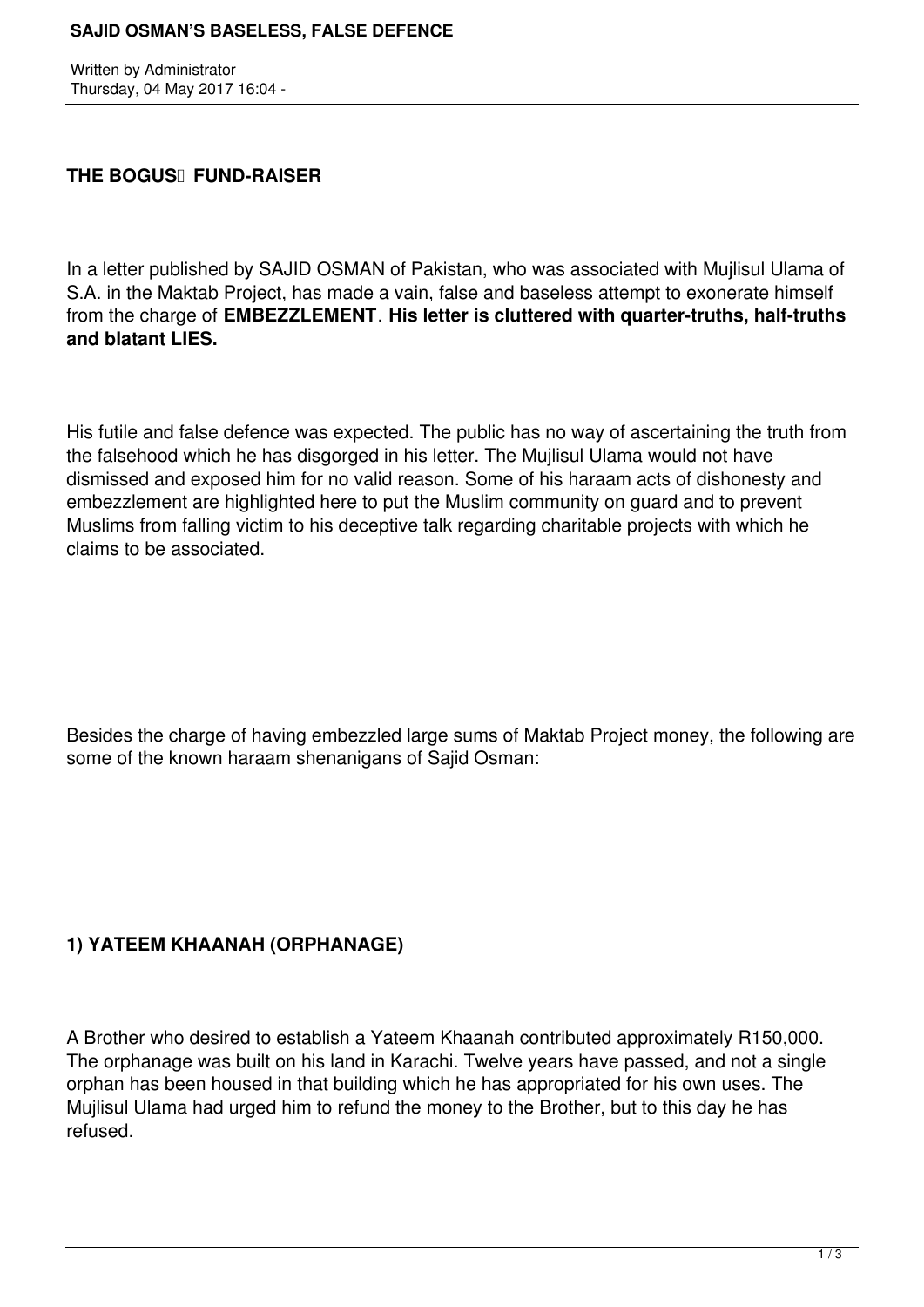#### **SAJID OSMAN'S BASELESS, FALSE DEFENCE**

Written by Administrator Thursday, 04 May 2017 16:04 -

#### **THE BOGUS** FUND-RAISER

In a letter published by SAJID OSMAN of Pakistan, who was associated with Mujlisul Ulama of S.A. in the Maktab Project, has made a vain, false and baseless attempt to exonerate himself from the charge of **EMBEZZLEMENT**. **His letter is cluttered with quarter-truths, half-truths and blatant LIES.**

His futile and false defence was expected. The public has no way of ascertaining the truth from the falsehood which he has disgorged in his letter. The Mujlisul Ulama would not have dismissed and exposed him for no valid reason. Some of his haraam acts of dishonesty and embezzlement are highlighted here to put the Muslim community on guard and to prevent Muslims from falling victim to his deceptive talk regarding charitable projects with which he claims to be associated.

Besides the charge of having embezzled large sums of Maktab Project money, the following are some of the known haraam shenanigans of Sajid Osman:

## **1) YATEEM KHAANAH (ORPHANAGE)**

A Brother who desired to establish a Yateem Khaanah contributed approximately R150,000. The orphanage was built on his land in Karachi. Twelve years have passed, and not a single orphan has been housed in that building which he has appropriated for his own uses. The Mujlisul Ulama had urged him to refund the money to the Brother, but to this day he has refused.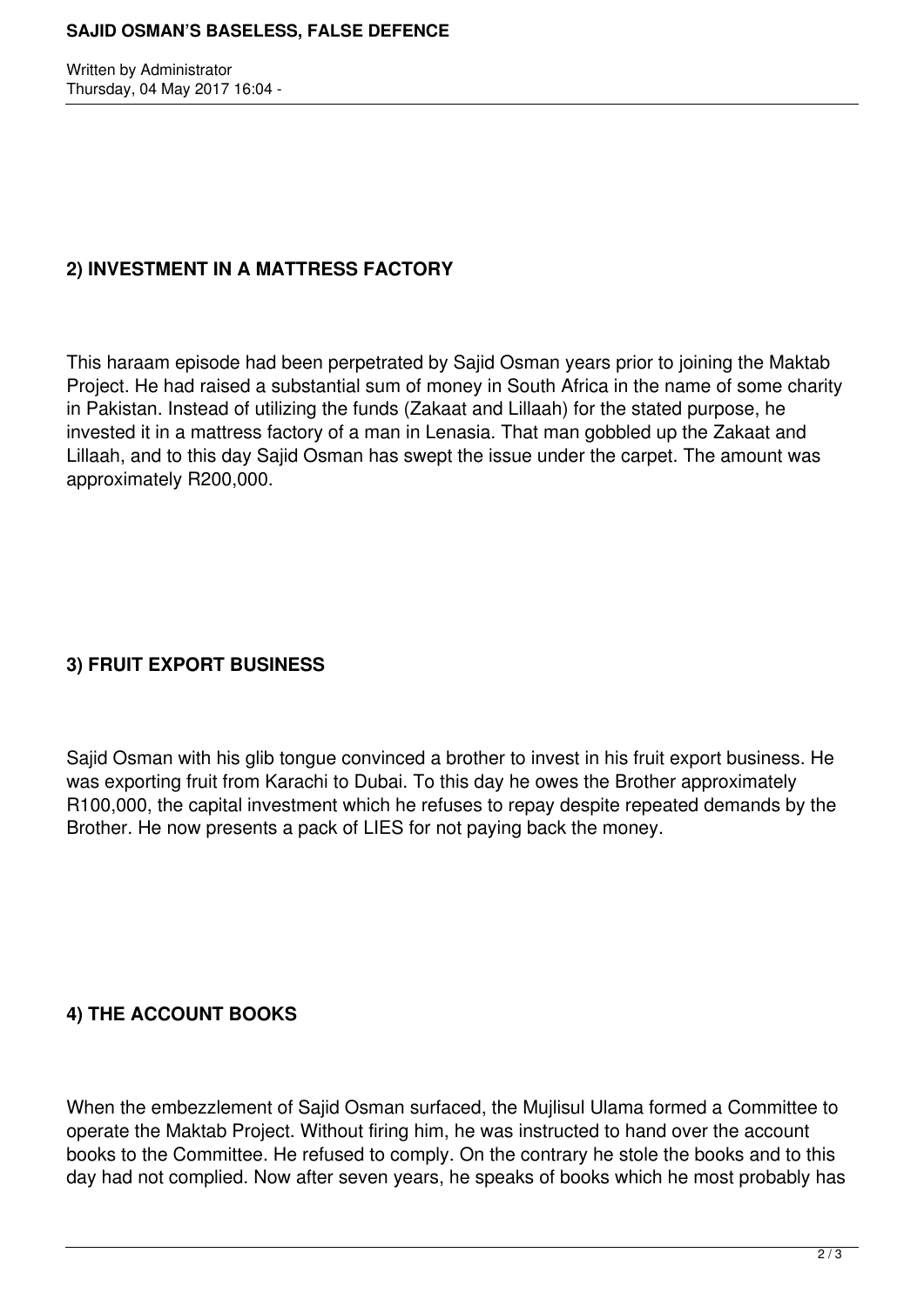Written by Administrator Thursday, 04 May 2017 16:04 -

### **2) INVESTMENT IN A MATTRESS FACTORY**

This haraam episode had been perpetrated by Sajid Osman years prior to joining the Maktab Project. He had raised a substantial sum of money in South Africa in the name of some charity in Pakistan. Instead of utilizing the funds (Zakaat and Lillaah) for the stated purpose, he invested it in a mattress factory of a man in Lenasia. That man gobbled up the Zakaat and Lillaah, and to this day Sajid Osman has swept the issue under the carpet. The amount was approximately R200,000.

## **3) FRUIT EXPORT BUSINESS**

Sajid Osman with his glib tongue convinced a brother to invest in his fruit export business. He was exporting fruit from Karachi to Dubai. To this day he owes the Brother approximately R100,000, the capital investment which he refuses to repay despite repeated demands by the Brother. He now presents a pack of LIES for not paying back the money.

## **4) THE ACCOUNT BOOKS**

When the embezzlement of Sajid Osman surfaced, the Mujlisul Ulama formed a Committee to operate the Maktab Project. Without firing him, he was instructed to hand over the account books to the Committee. He refused to comply. On the contrary he stole the books and to this day had not complied. Now after seven years, he speaks of books which he most probably has